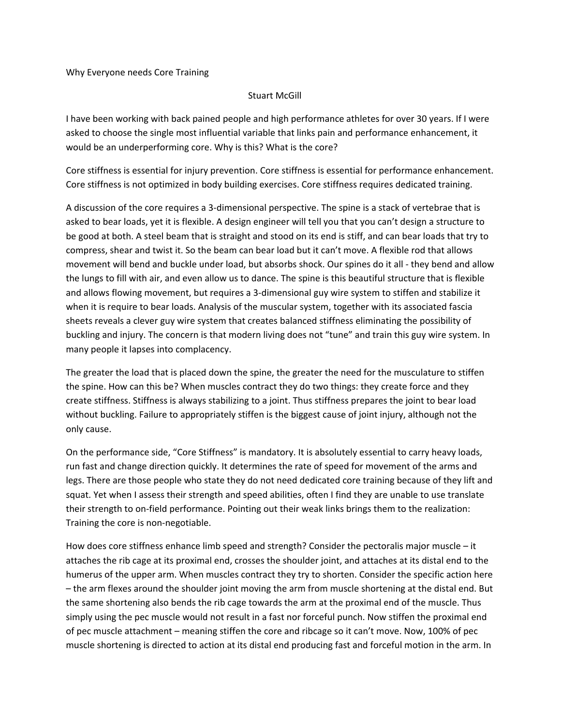Why Everyone needs Core Training

## Stuart McGill

I have been working with back pained people and high performance athletes for over 30 years. If I were asked to choose the single most influential variable that links pain and performance enhancement, it would be an underperforming core. Why is this? What is the core?

Core stiffness is essential for injury prevention. Core stiffness is essential for performance enhancement. Core stiffness is not optimized in body building exercises. Core stiffness requires dedicated training.

A discussion of the core requires a 3‐dimensional perspective. The spine is a stack of vertebrae that is asked to bear loads, yet it is flexible. A design engineer will tell you that you can't design a structure to be good at both. A steel beam that is straight and stood on its end is stiff, and can bear loads that try to compress, shear and twist it. So the beam can bear load but it can't move. A flexible rod that allows movement will bend and buckle under load, but absorbs shock. Our spines do it all ‐ they bend and allow the lungs to fill with air, and even allow us to dance. The spine is this beautiful structure that is flexible and allows flowing movement, but requires a 3‐dimensional guy wire system to stiffen and stabilize it when it is require to bear loads. Analysis of the muscular system, together with its associated fascia sheets reveals a clever guy wire system that creates balanced stiffness eliminating the possibility of buckling and injury. The concern is that modern living does not "tune" and train this guy wire system. In many people it lapses into complacency.

The greater the load that is placed down the spine, the greater the need for the musculature to stiffen the spine. How can this be? When muscles contract they do two things: they create force and they create stiffness. Stiffness is always stabilizing to a joint. Thus stiffness prepares the joint to bear load without buckling. Failure to appropriately stiffen is the biggest cause of joint injury, although not the only cause.

On the performance side, "Core Stiffness" is mandatory. It is absolutely essential to carry heavy loads, run fast and change direction quickly. It determines the rate of speed for movement of the arms and legs. There are those people who state they do not need dedicated core training because of they lift and squat. Yet when I assess their strength and speed abilities, often I find they are unable to use translate their strength to on‐field performance. Pointing out their weak links brings them to the realization: Training the core is non‐negotiable.

How does core stiffness enhance limb speed and strength? Consider the pectoralis major muscle – it attaches the rib cage at its proximal end, crosses the shoulder joint, and attaches at its distal end to the humerus of the upper arm. When muscles contract they try to shorten. Consider the specific action here – the arm flexes around the shoulder joint moving the arm from muscle shortening at the distal end. But the same shortening also bends the rib cage towards the arm at the proximal end of the muscle. Thus simply using the pec muscle would not result in a fast nor forceful punch. Now stiffen the proximal end of pec muscle attachment – meaning stiffen the core and ribcage so it can't move. Now, 100% of pec muscle shortening is directed to action at its distal end producing fast and forceful motion in the arm. In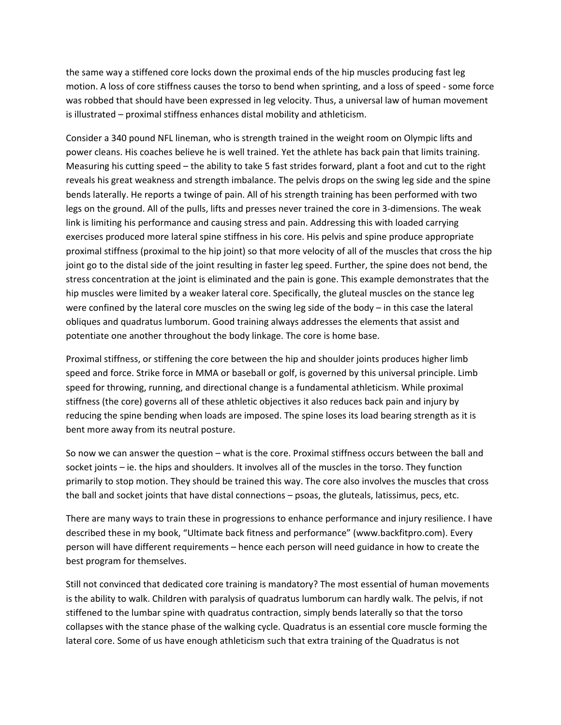the same way a stiffened core locks down the proximal ends of the hip muscles producing fast leg motion. A loss of core stiffness causes the torso to bend when sprinting, and a loss of speed ‐ some force was robbed that should have been expressed in leg velocity. Thus, a universal law of human movement is illustrated – proximal stiffness enhances distal mobility and athleticism.

Consider a 340 pound NFL lineman, who is strength trained in the weight room on Olympic lifts and power cleans. His coaches believe he is well trained. Yet the athlete has back pain that limits training. Measuring his cutting speed – the ability to take 5 fast strides forward, plant a foot and cut to the right reveals his great weakness and strength imbalance. The pelvis drops on the swing leg side and the spine bends laterally. He reports a twinge of pain. All of his strength training has been performed with two legs on the ground. All of the pulls, lifts and presses never trained the core in 3‐dimensions. The weak link is limiting his performance and causing stress and pain. Addressing this with loaded carrying exercises produced more lateral spine stiffness in his core. His pelvis and spine produce appropriate proximal stiffness (proximal to the hip joint) so that more velocity of all of the muscles that cross the hip joint go to the distal side of the joint resulting in faster leg speed. Further, the spine does not bend, the stress concentration at the joint is eliminated and the pain is gone. This example demonstrates that the hip muscles were limited by a weaker lateral core. Specifically, the gluteal muscles on the stance leg were confined by the lateral core muscles on the swing leg side of the body – in this case the lateral obliques and quadratus lumborum. Good training always addresses the elements that assist and potentiate one another throughout the body linkage. The core is home base.

Proximal stiffness, or stiffening the core between the hip and shoulder joints produces higher limb speed and force. Strike force in MMA or baseball or golf, is governed by this universal principle. Limb speed for throwing, running, and directional change is a fundamental athleticism. While proximal stiffness (the core) governs all of these athletic objectives it also reduces back pain and injury by reducing the spine bending when loads are imposed. The spine loses its load bearing strength as it is bent more away from its neutral posture.

So now we can answer the question – what is the core. Proximal stiffness occurs between the ball and socket joints – ie. the hips and shoulders. It involves all of the muscles in the torso. They function primarily to stop motion. They should be trained this way. The core also involves the muscles that cross the ball and socket joints that have distal connections – psoas, the gluteals, latissimus, pecs, etc.

There are many ways to train these in progressions to enhance performance and injury resilience. I have described these in my book, "Ultimate back fitness and performance" (www.backfitpro.com). Every person will have different requirements – hence each person will need guidance in how to create the best program for themselves.

Still not convinced that dedicated core training is mandatory? The most essential of human movements is the ability to walk. Children with paralysis of quadratus lumborum can hardly walk. The pelvis, if not stiffened to the lumbar spine with quadratus contraction, simply bends laterally so that the torso collapses with the stance phase of the walking cycle. Quadratus is an essential core muscle forming the lateral core. Some of us have enough athleticism such that extra training of the Quadratus is not